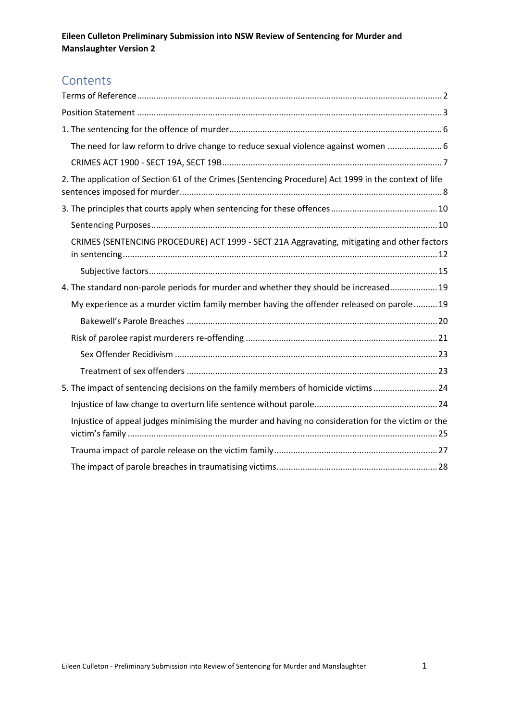## **Contents**

| The need for law reform to drive change to reduce sexual violence against women  6                    |  |
|-------------------------------------------------------------------------------------------------------|--|
|                                                                                                       |  |
| 2. The application of Section 61 of the Crimes (Sentencing Procedure) Act 1999 in the context of life |  |
|                                                                                                       |  |
|                                                                                                       |  |
| CRIMES (SENTENCING PROCEDURE) ACT 1999 - SECT 21A Aggravating, mitigating and other factors           |  |
|                                                                                                       |  |
| 4. The standard non-parole periods for murder and whether they should be increased 19                 |  |
| My experience as a murder victim family member having the offender released on parole19               |  |
|                                                                                                       |  |
|                                                                                                       |  |
|                                                                                                       |  |
|                                                                                                       |  |
| 5. The impact of sentencing decisions on the family members of homicide victims 24                    |  |
|                                                                                                       |  |
| Injustice of appeal judges minimising the murder and having no consideration for the victim or the    |  |
|                                                                                                       |  |
|                                                                                                       |  |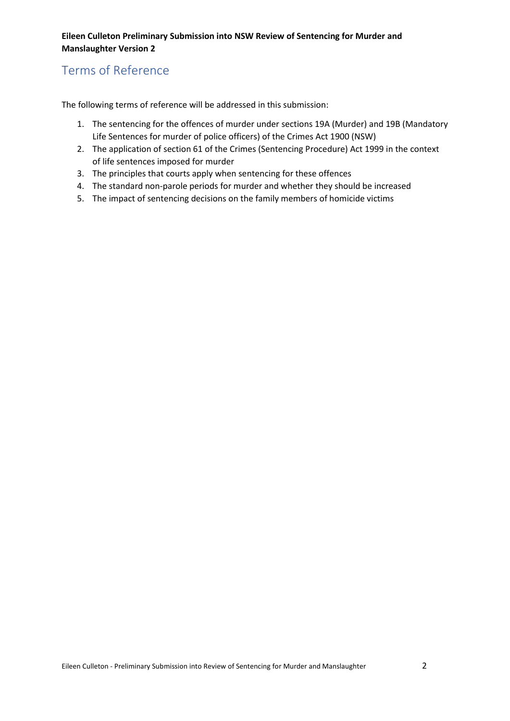## <span id="page-1-0"></span>Terms of Reference

The following terms of reference will be addressed in this submission:

- 1. The sentencing for the offences of murder under sections 19A (Murder) and 19B (Mandatory Life Sentences for murder of police officers) of the Crimes Act 1900 (NSW)
- 2. The application of section 61 of the Crimes (Sentencing Procedure) Act 1999 in the context of life sentences imposed for murder
- 3. The principles that courts apply when sentencing for these offences
- 4. The standard non-parole periods for murder and whether they should be increased
- 5. The impact of sentencing decisions on the family members of homicide victims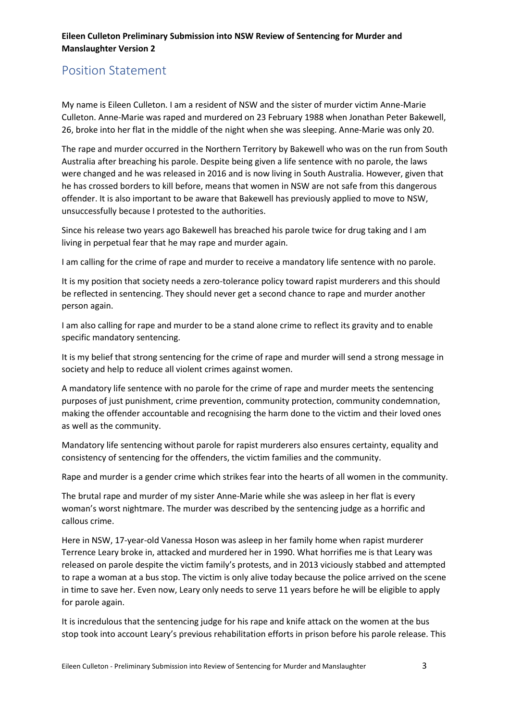# <span id="page-2-0"></span>Position Statement

My name is Eileen Culleton. I am a resident of NSW and the sister of murder victim Anne-Marie Culleton. Anne-Marie was raped and murdered on 23 February 1988 when Jonathan Peter Bakewell, 26, broke into her flat in the middle of the night when she was sleeping. Anne-Marie was only 20.

The rape and murder occurred in the Northern Territory by Bakewell who was on the run from South Australia after breaching his parole. Despite being given a life sentence with no parole, the laws were changed and he was released in 2016 and is now living in South Australia. However, given that he has crossed borders to kill before, means that women in NSW are not safe from this dangerous offender. It is also important to be aware that Bakewell has previously applied to move to NSW, unsuccessfully because I protested to the authorities.

Since his release two years ago Bakewell has breached his parole twice for drug taking and I am living in perpetual fear that he may rape and murder again.

I am calling for the crime of rape and murder to receive a mandatory life sentence with no parole.

It is my position that society needs a zero-tolerance policy toward rapist murderers and this should be reflected in sentencing. They should never get a second chance to rape and murder another person again.

I am also calling for rape and murder to be a stand alone crime to reflect its gravity and to enable specific mandatory sentencing.

It is my belief that strong sentencing for the crime of rape and murder will send a strong message in society and help to reduce all violent crimes against women.

A mandatory life sentence with no parole for the crime of rape and murder meets the sentencing purposes of just punishment, crime prevention, community protection, community condemnation, making the offender accountable and recognising the harm done to the victim and their loved ones as well as the community.

Mandatory life sentencing without parole for rapist murderers also ensures certainty, equality and consistency of sentencing for the offenders, the victim families and the community.

Rape and murder is a gender crime which strikes fear into the hearts of all women in the community.

The brutal rape and murder of my sister Anne-Marie while she was asleep in her flat is every woman's worst nightmare. The murder was described by the sentencing judge as a horrific and callous crime.

Here in NSW, 17-year-old Vanessa Hoson was asleep in her family home when rapist murderer Terrence Leary broke in, attacked and murdered her in 1990. What horrifies me is that Leary was released on parole despite the victim family's protests, and in 2013 viciously stabbed and attempted to rape a woman at a bus stop. The victim is only alive today because the police arrived on the scene in time to save her. Even now, Leary only needs to serve 11 years before he will be eligible to apply for parole again.

It is incredulous that the sentencing judge for his rape and knife attack on the women at the bus stop took into account Leary's previous rehabilitation efforts in prison before his parole release. This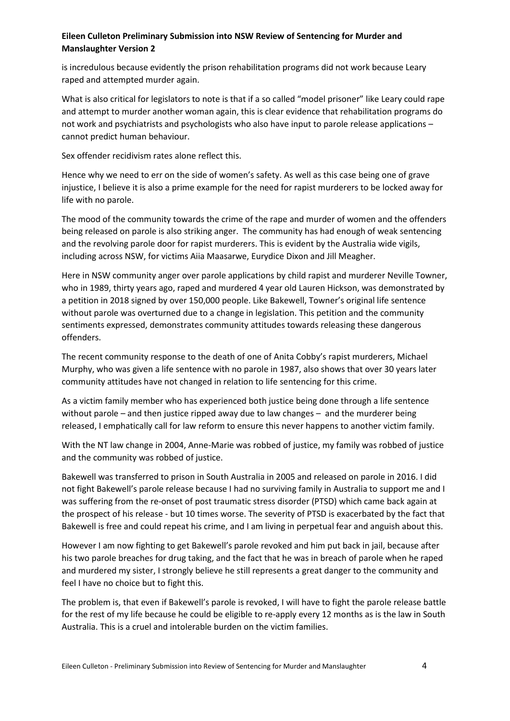is incredulous because evidently the prison rehabilitation programs did not work because Leary raped and attempted murder again.

What is also critical for legislators to note is that if a so called "model prisoner" like Leary could rape and attempt to murder another woman again, this is clear evidence that rehabilitation programs do not work and psychiatrists and psychologists who also have input to parole release applications – cannot predict human behaviour.

Sex offender recidivism rates alone reflect this.

Hence why we need to err on the side of women's safety. As well as this case being one of grave injustice, I believe it is also a prime example for the need for rapist murderers to be locked away for life with no parole.

The mood of the community towards the crime of the rape and murder of women and the offenders being released on parole is also striking anger. The community has had enough of weak sentencing and the revolving parole door for rapist murderers. This is evident by the Australia wide vigils, including across NSW, for victims Aiia Maasarwe, Eurydice Dixon and Jill Meagher.

Here in NSW community anger over parole applications by child rapist and murderer Neville Towner, who in 1989, thirty years ago, raped and murdered 4 year old Lauren Hickson, was demonstrated by a petition in 2018 signed by over 150,000 people. Like Bakewell, Towner's original life sentence without parole was overturned due to a change in legislation. This petition and the community sentiments expressed, demonstrates community attitudes towards releasing these dangerous offenders.

The recent community response to the death of one of Anita Cobby's rapist murderers, Michael Murphy, who was given a life sentence with no parole in 1987, also shows that over 30 years later community attitudes have not changed in relation to life sentencing for this crime.

As a victim family member who has experienced both justice being done through a life sentence without parole – and then justice ripped away due to law changes – and the murderer being released, I emphatically call for law reform to ensure this never happens to another victim family.

With the NT law change in 2004, Anne-Marie was robbed of justice, my family was robbed of justice and the community was robbed of justice.

Bakewell was transferred to prison in South Australia in 2005 and released on parole in 2016. I did not fight Bakewell's parole release because I had no surviving family in Australia to support me and I was suffering from the re-onset of post traumatic stress disorder (PTSD) which came back again at the prospect of his release - but 10 times worse. The severity of PTSD is exacerbated by the fact that Bakewell is free and could repeat his crime, and I am living in perpetual fear and anguish about this.

However I am now fighting to get Bakewell's parole revoked and him put back in jail, because after his two parole breaches for drug taking, and the fact that he was in breach of parole when he raped and murdered my sister, I strongly believe he still represents a great danger to the community and feel I have no choice but to fight this.

The problem is, that even if Bakewell's parole is revoked, I will have to fight the parole release battle for the rest of my life because he could be eligible to re-apply every 12 months as is the law in South Australia. This is a cruel and intolerable burden on the victim families.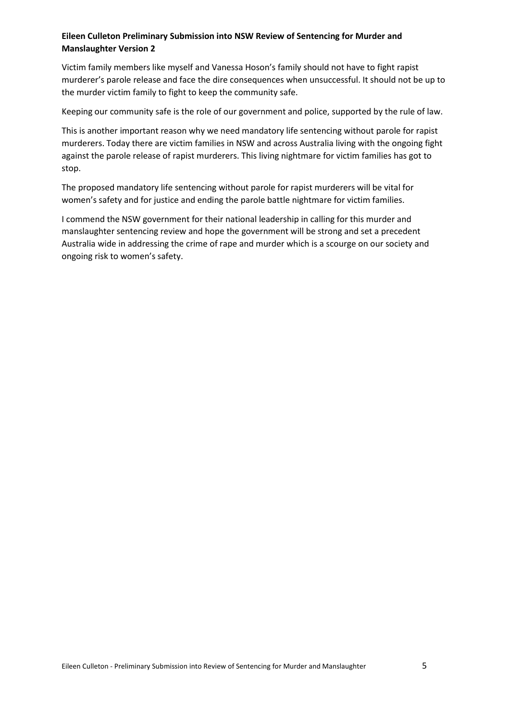Victim family members like myself and Vanessa Hoson's family should not have to fight rapist murderer's parole release and face the dire consequences when unsuccessful. It should not be up to the murder victim family to fight to keep the community safe.

Keeping our community safe is the role of our government and police, supported by the rule of law.

This is another important reason why we need mandatory life sentencing without parole for rapist murderers. Today there are victim families in NSW and across Australia living with the ongoing fight against the parole release of rapist murderers. This living nightmare for victim families has got to stop.

The proposed mandatory life sentencing without parole for rapist murderers will be vital for women's safety and for justice and ending the parole battle nightmare for victim families.

I commend the NSW government for their national leadership in calling for this murder and manslaughter sentencing review and hope the government will be strong and set a precedent Australia wide in addressing the crime of rape and murder which is a scourge on our society and ongoing risk to women's safety.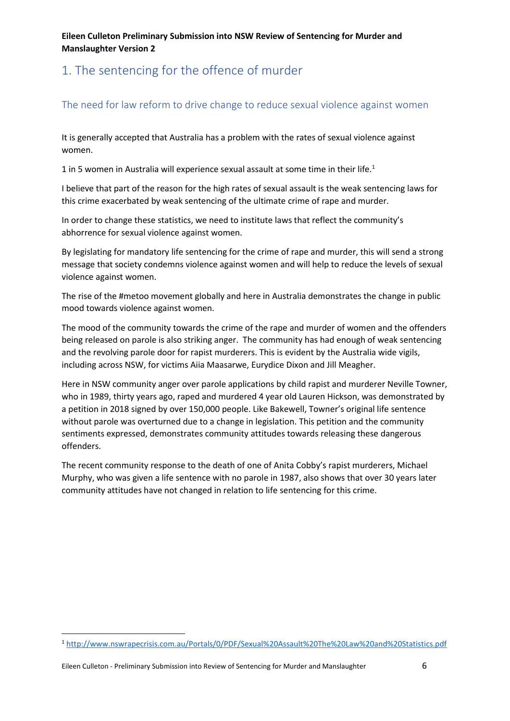# <span id="page-5-0"></span>1. The sentencing for the offence of murder

## <span id="page-5-1"></span>The need for law reform to drive change to reduce sexual violence against women

It is generally accepted that Australia has a problem with the rates of sexual violence against women.

1 in 5 women in Australia will experience sexual assault at some time in their life.<sup>1</sup>

I believe that part of the reason for the high rates of sexual assault is the weak sentencing laws for this crime exacerbated by weak sentencing of the ultimate crime of rape and murder.

In order to change these statistics, we need to institute laws that reflect the community's abhorrence for sexual violence against women.

By legislating for mandatory life sentencing for the crime of rape and murder, this will send a strong message that society condemns violence against women and will help to reduce the levels of sexual violence against women.

The rise of the #metoo movement globally and here in Australia demonstrates the change in public mood towards violence against women.

The mood of the community towards the crime of the rape and murder of women and the offenders being released on parole is also striking anger. The community has had enough of weak sentencing and the revolving parole door for rapist murderers. This is evident by the Australia wide vigils, including across NSW, for victims Aiia Maasarwe, Eurydice Dixon and Jill Meagher.

Here in NSW community anger over parole applications by child rapist and murderer Neville Towner, who in 1989, thirty years ago, raped and murdered 4 year old Lauren Hickson, was demonstrated by a petition in 2018 signed by over 150,000 people. Like Bakewell, Towner's original life sentence without parole was overturned due to a change in legislation. This petition and the community sentiments expressed, demonstrates community attitudes towards releasing these dangerous offenders.

The recent community response to the death of one of Anita Cobby's rapist murderers, Michael Murphy, who was given a life sentence with no parole in 1987, also shows that over 30 years later community attitudes have not changed in relation to life sentencing for this crime.

1

<sup>1</sup> http://www.nswrapecrisis.com.au/Portals/0/PDF/Sexual%20Assault%20The%20Law%20and%20Statistics.pdf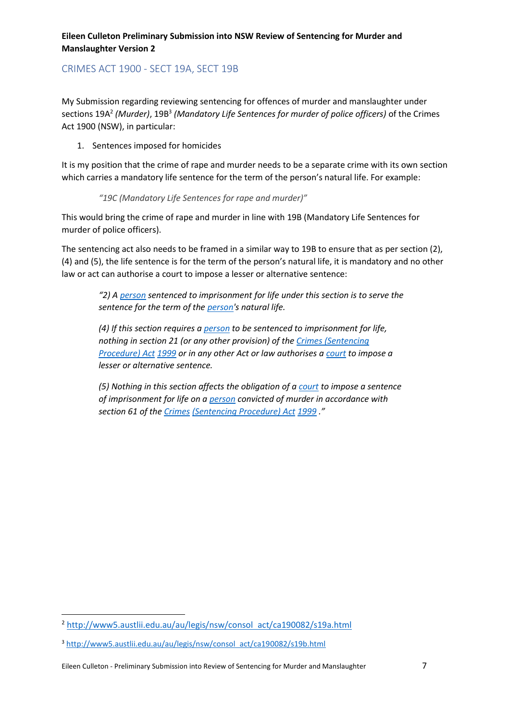## <span id="page-6-0"></span>CRIMES ACT 1900 - SECT 19A, SECT 19B

My Submission regarding reviewing sentencing for offences of murder and manslaughter under sections 19A<sup>2</sup> *(Murder)*, 19B<sup>3</sup> *(Mandatory Life Sentences for murder of police officers)* of the Crimes Act 1900 (NSW), in particular:

#### 1. Sentences imposed for homicides

It is my position that the crime of rape and murder needs to be a separate crime with its own section which carries a mandatory life sentence for the term of the person's natural life. For example:

#### *"19C (Mandatory Life Sentences for rape and murder)"*

This would bring the crime of rape and murder in line with 19B (Mandatory Life Sentences for murder of police officers).

The sentencing act also needs to be framed in a similar way to 19B to ensure that as per section (2), (4) and (5), the life sentence is for the term of the person's natural life, it is mandatory and no other law or act can authorise a court to impose a lesser or alternative sentence:

*"2) A person sentenced to imprisonment for life under this section is to serve the sentence for the term of the person's natural life.*

*(4) If this section requires a person to be sentenced to imprisonment for life, nothing in section 21 (or any other provision) of the Crimes (Sentencing Procedure) Act 1999 or in any other Act or law authorises a court to impose a lesser or alternative sentence.*

*(5) Nothing in this section affects the obligation of a court to impose a sentence of imprisonment for life on a person convicted of murder in accordance with section 61 of the Crimes (Sentencing Procedure) Act 1999 ."*

 $\overline{\phantom{a}}$ 

<sup>2</sup> http://www5.austlii.edu.au/au/legis/nsw/consol act/ca190082/s19a.html

<sup>3</sup> http://www5.austlii.edu.au/au/legis/nsw/consol act/ca190082/s19b.html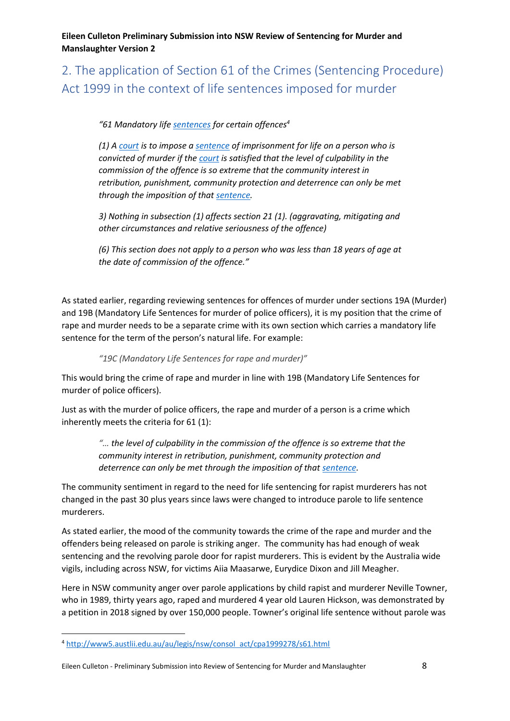<span id="page-7-0"></span>2. The application of Section 61 of the Crimes (Sentencing Procedure) Act 1999 in the context of life sentences imposed for murder

*"61 Mandatory life sentences for certain offences<sup>4</sup>*

*(1) A court is to impose a sentence of imprisonment for life on a person who is convicted of murder if the court is satisfied that the level of culpability in the commission of the offence is so extreme that the community interest in retribution, punishment, community protection and deterrence can only be met through the imposition of that sentence.*

*3) Nothing in subsection (1) affects section 21 (1). (aggravating, mitigating and other circumstances and relative seriousness of the offence)*

*(6) This section does not apply to a person who was less than 18 years of age at the date of commission of the offence."*

As stated earlier, regarding reviewing sentences for offences of murder under sections 19A (Murder) and 19B (Mandatory Life Sentences for murder of police officers), it is my position that the crime of rape and murder needs to be a separate crime with its own section which carries a mandatory life sentence for the term of the person's natural life. For example:

*"19C (Mandatory Life Sentences for rape and murder)"*

This would bring the crime of rape and murder in line with 19B (Mandatory Life Sentences for murder of police officers).

Just as with the murder of police officers, the rape and murder of a person is a crime which inherently meets the criteria for 61 (1):

> *"… the level of culpability in the commission of the offence is so extreme that the community interest in retribution, punishment, community protection and deterrence can only be met through the imposition of that sentence.*

The community sentiment in regard to the need for life sentencing for rapist murderers has not changed in the past 30 plus years since laws were changed to introduce parole to life sentence murderers.

As stated earlier, the mood of the community towards the crime of the rape and murder and the offenders being released on parole is striking anger. The community has had enough of weak sentencing and the revolving parole door for rapist murderers. This is evident by the Australia wide vigils, including across NSW, for victims Aiia Maasarwe, Eurydice Dixon and Jill Meagher.

Here in NSW community anger over parole applications by child rapist and murderer Neville Towner, who in 1989, thirty years ago, raped and murdered 4 year old Lauren Hickson, was demonstrated by a petition in 2018 signed by over 150,000 people. Towner's original life sentence without parole was

1

<sup>4</sup> http://www5.austlii.edu.au/au/legis/nsw/consol act/cpa1999278/s61.html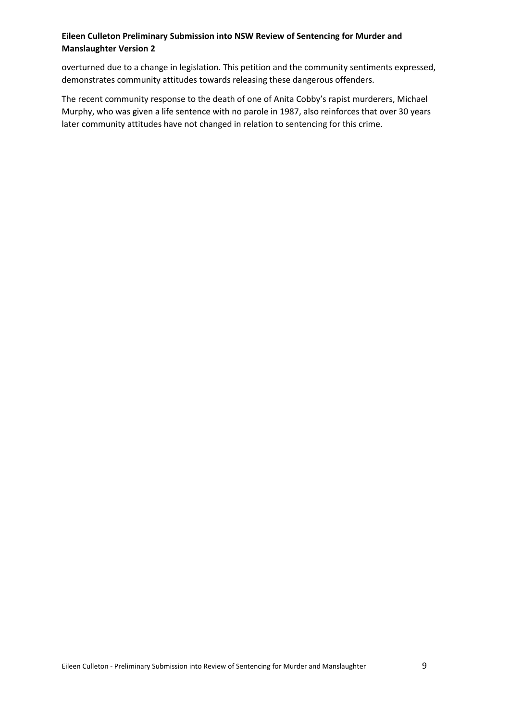overturned due to a change in legislation. This petition and the community sentiments expressed, demonstrates community attitudes towards releasing these dangerous offenders.

The recent community response to the death of one of Anita Cobby's rapist murderers, Michael Murphy, who was given a life sentence with no parole in 1987, also reinforces that over 30 years later community attitudes have not changed in relation to sentencing for this crime.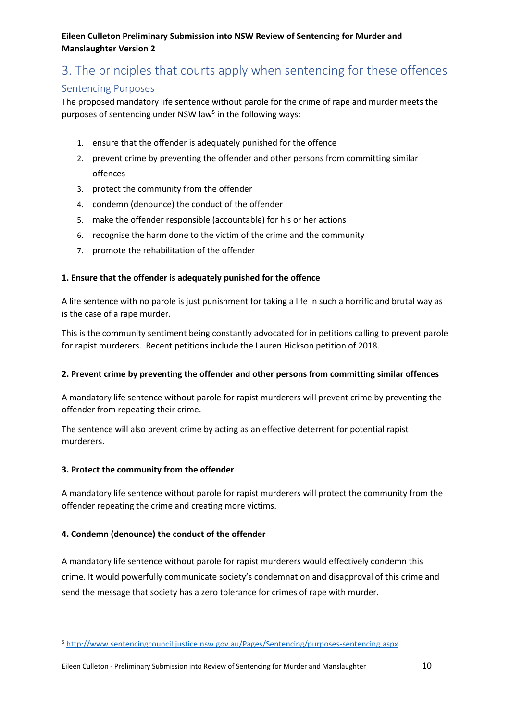# <span id="page-9-0"></span>3. The principles that courts apply when sentencing for these offences

## <span id="page-9-1"></span>Sentencing Purposes

The proposed mandatory life sentence without parole for the crime of rape and murder meets the purposes of sentencing under NSW law<sup>5</sup> in the following ways:

- 1. ensure that the offender is adequately punished for the offence
- 2. prevent crime by preventing the offender and other persons from committing similar offences
- 3. protect the community from the offender
- 4. condemn (denounce) the conduct of the offender
- 5. make the offender responsible (accountable) for his or her actions
- 6. recognise the harm done to the victim of the crime and the community
- 7. promote the rehabilitation of the offender

## **1. Ensure that the offender is adequately punished for the offence**

A life sentence with no parole is just punishment for taking a life in such a horrific and brutal way as is the case of a rape murder.

This is the community sentiment being constantly advocated for in petitions calling to prevent parole for rapist murderers. Recent petitions include the Lauren Hickson petition of 2018.

### **2. Prevent crime by preventing the offender and other persons from committing similar offences**

A mandatory life sentence without parole for rapist murderers will prevent crime by preventing the offender from repeating their crime.

The sentence will also prevent crime by acting as an effective deterrent for potential rapist murderers.

### **3. Protect the community from the offender**

1

A mandatory life sentence without parole for rapist murderers will protect the community from the offender repeating the crime and creating more victims.

### **4. Condemn (denounce) the conduct of the offender**

A mandatory life sentence without parole for rapist murderers would effectively condemn this crime. It would powerfully communicate society's condemnation and disapproval of this crime and send the message that society has a zero tolerance for crimes of rape with murder.

<sup>5</sup> http://www.sentencingcouncil.justice.nsw.gov.au/Pages/Sentencing/purposes-sentencing.aspx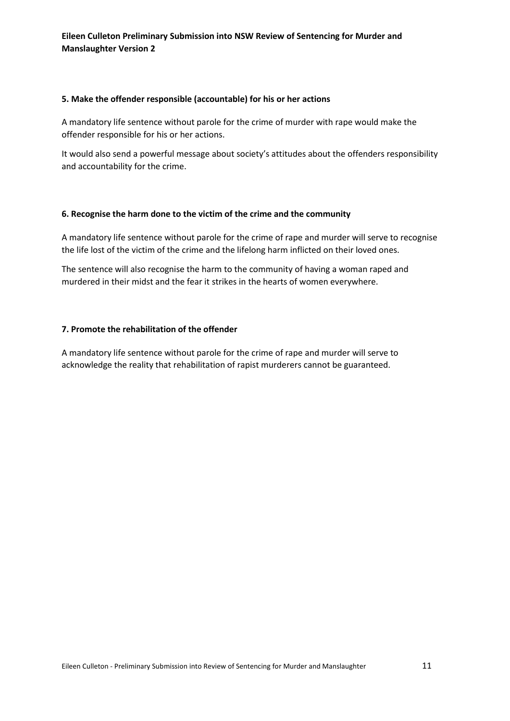#### **5. Make the offender responsible (accountable) for his or her actions**

A mandatory life sentence without parole for the crime of murder with rape would make the offender responsible for his or her actions.

It would also send a powerful message about society's attitudes about the offenders responsibility and accountability for the crime.

#### **6. Recognise the harm done to the victim of the crime and the community**

A mandatory life sentence without parole for the crime of rape and murder will serve to recognise the life lost of the victim of the crime and the lifelong harm inflicted on their loved ones.

The sentence will also recognise the harm to the community of having a woman raped and murdered in their midst and the fear it strikes in the hearts of women everywhere.

#### **7. Promote the rehabilitation of the offender**

A mandatory life sentence without parole for the crime of rape and murder will serve to acknowledge the reality that rehabilitation of rapist murderers cannot be guaranteed.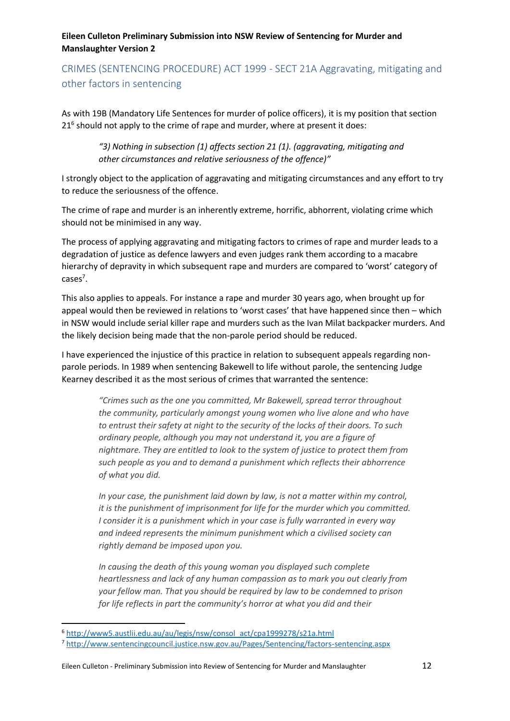## <span id="page-11-0"></span>CRIMES (SENTENCING PROCEDURE) ACT 1999 - SECT 21A Aggravating, mitigating and other factors in sentencing

As with 19B (Mandatory Life Sentences for murder of police officers), it is my position that section 21<sup>6</sup> should not apply to the crime of rape and murder, where at present it does:

*"3) Nothing in subsection (1) affects section 21 (1). (aggravating, mitigating and other circumstances and relative seriousness of the offence)"*

I strongly object to the application of aggravating and mitigating circumstances and any effort to try to reduce the seriousness of the offence.

The crime of rape and murder is an inherently extreme, horrific, abhorrent, violating crime which should not be minimised in any way.

The process of applying aggravating and mitigating factors to crimes of rape and murder leads to a degradation of justice as defence lawyers and even judges rank them according to a macabre hierarchy of depravity in which subsequent rape and murders are compared to 'worst' category of cases<sup>7</sup>.

This also applies to appeals. For instance a rape and murder 30 years ago, when brought up for appeal would then be reviewed in relations to 'worst cases' that have happened since then – which in NSW would include serial killer rape and murders such as the Ivan Milat backpacker murders. And the likely decision being made that the non-parole period should be reduced.

I have experienced the injustice of this practice in relation to subsequent appeals regarding nonparole periods. In 1989 when sentencing Bakewell to life without parole, the sentencing Judge Kearney described it as the most serious of crimes that warranted the sentence:

> *"Crimes such as the one you committed, Mr Bakewell, spread terror throughout the community, particularly amongst young women who live alone and who have to entrust their safety at night to the security of the locks of their doors. To such ordinary people, although you may not understand it, you are a figure of nightmare. They are entitled to look to the system of justice to protect them from such people as you and to demand a punishment which reflects their abhorrence of what you did.*

> *In your case, the punishment laid down by law, is not a matter within my control, it is the punishment of imprisonment for life for the murder which you committed. I consider it is a punishment which in your case is fully warranted in every way and indeed represents the minimum punishment which a civilised society can rightly demand be imposed upon you.*

> *In causing the death of this young woman you displayed such complete heartlessness and lack of any human compassion as to mark you out clearly from your fellow man. That you should be required by law to be condemned to prison for life reflects in part the community's horror at what you did and their*

<sup>6</sup> http://www5.austlii.edu.au/au/legis/nsw/consol act/cpa1999278/s21a.html

<sup>7</sup> http://www.sentencingcouncil.justice.nsw.gov.au/Pages/Sentencing/factors-sentencing.aspx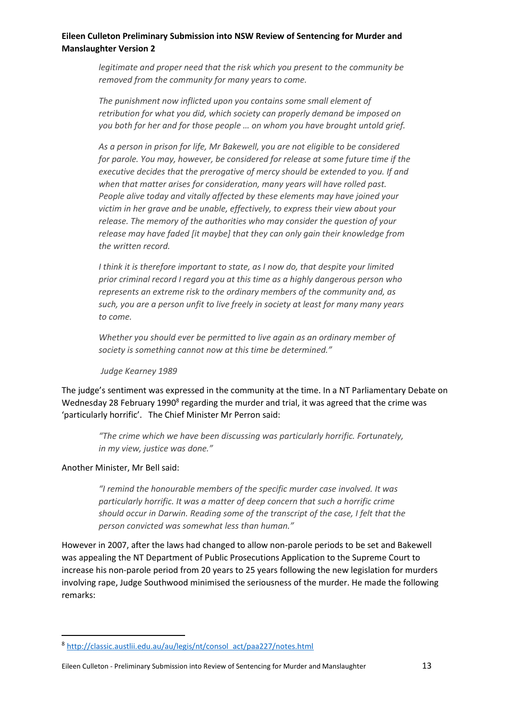*legitimate and proper need that the risk which you present to the community be removed from the community for many years to come.*

*The punishment now inflicted upon you contains some small element of retribution for what you did, which society can properly demand be imposed on you both for her and for those people … on whom you have brought untold grief.*

*As a person in prison for life, Mr Bakewell, you are not eligible to be considered for parole. You may, however, be considered for release at some future time if the executive decides that the prerogative of mercy should be extended to you. If and when that matter arises for consideration, many years will have rolled past. People alive today and vitally affected by these elements may have joined your victim in her grave and be unable, effectively, to express their view about your release. The memory of the authorities who may consider the question of your release may have faded [it maybe] that they can only gain their knowledge from the written record.*

*I think it is therefore important to state, as I now do, that despite your limited prior criminal record I regard you at this time as a highly dangerous person who represents an extreme risk to the ordinary members of the community and, as such, you are a person unfit to live freely in society at least for many many years to come.*

*Whether you should ever be permitted to live again as an ordinary member of society is something cannot now at this time be determined."*

#### *Judge Kearney 1989*

The judge's sentiment was expressed in the community at the time. In a NT Parliamentary Debate on Wednesday 28 February 1990<sup>8</sup> regarding the murder and trial, it was agreed that the crime was 'particularly horrific'. The Chief Minister Mr Perron said:

*"The crime which we have been discussing was particularly horrific. Fortunately, in my view, justice was done."* 

#### Another Minister, Mr Bell said:

 $\overline{\phantom{a}}$ 

*"I remind the honourable members of the specific murder case involved. It was particularly horrific. It was a matter of deep concern that such a horrific crime should occur in Darwin. Reading some of the transcript of the case, I felt that the person convicted was somewhat less than human."*

However in 2007, after the laws had changed to allow non-parole periods to be set and Bakewell was appealing the NT Department of Public Prosecutions Application to the Supreme Court to increase his non-parole period from 20 years to 25 years following the new legislation for murders involving rape, Judge Southwood minimised the seriousness of the murder. He made the following remarks:

<sup>8</sup> http://classic.austlii.edu.au/au/legis/nt/consol act/paa227/notes.html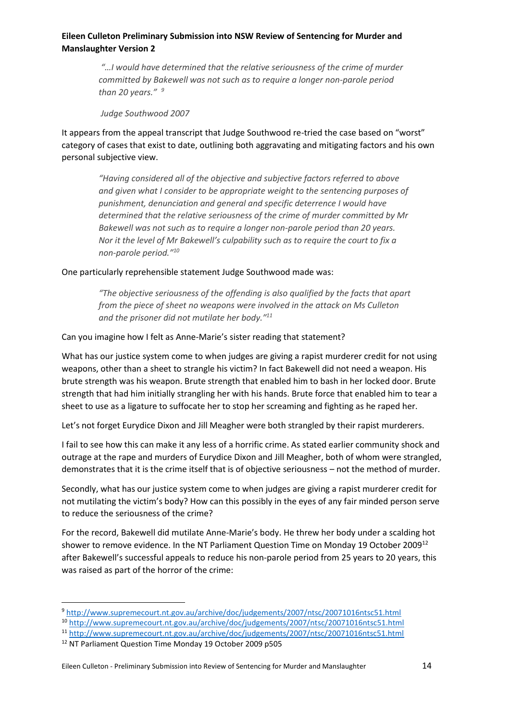*"…I would have determined that the relative seriousness of the crime of murder committed by Bakewell was not such as to require a longer non-parole period than 20 years." <sup>9</sup>*

*Judge Southwood 2007*

It appears from the appeal transcript that Judge Southwood re-tried the case based on "worst" category of cases that exist to date, outlining both aggravating and mitigating factors and his own personal subjective view.

*"Having considered all of the objective and subjective factors referred to above and given what I consider to be appropriate weight to the sentencing purposes of punishment, denunciation and general and specific deterrence I would have determined that the relative seriousness of the crime of murder committed by Mr Bakewell was not such as to require a longer non-parole period than 20 years. Nor it the level of Mr Bakewell's culpability such as to require the court to fix a non-parole period."<sup>10</sup>*

One particularly reprehensible statement Judge Southwood made was:

*"The objective seriousness of the offending is also qualified by the facts that apart from the piece of sheet no weapons were involved in the attack on Ms Culleton and the prisoner did not mutilate her body."<sup>11</sup>*

Can you imagine how I felt as Anne-Marie's sister reading that statement?

What has our justice system come to when judges are giving a rapist murderer credit for not using weapons, other than a sheet to strangle his victim? In fact Bakewell did not need a weapon. His brute strength was his weapon. Brute strength that enabled him to bash in her locked door. Brute strength that had him initially strangling her with his hands. Brute force that enabled him to tear a sheet to use as a ligature to suffocate her to stop her screaming and fighting as he raped her.

Let's not forget Eurydice Dixon and Jill Meagher were both strangled by their rapist murderers.

I fail to see how this can make it any less of a horrific crime. As stated earlier community shock and outrage at the rape and murders of Eurydice Dixon and Jill Meagher, both of whom were strangled, demonstrates that it is the crime itself that is of objective seriousness – not the method of murder.

Secondly, what has our justice system come to when judges are giving a rapist murderer credit for not mutilating the victim's body? How can this possibly in the eyes of any fair minded person serve to reduce the seriousness of the crime?

For the record, Bakewell did mutilate Anne-Marie's body. He threw her body under a scalding hot shower to remove evidence. In the NT Parliament Question Time on Monday 19 October 2009<sup>12</sup> after Bakewell's successful appeals to reduce his non-parole period from 25 years to 20 years, this was raised as part of the horror of the crime:

<sup>9</sup> http://www.supremecourt.nt.gov.au/archive/doc/judgements/2007/ntsc/20071016ntsc51.html

<sup>10</sup> http://www.supremecourt.nt.gov.au/archive/doc/judgements/2007/ntsc/20071016ntsc51.html

<sup>11</sup> http://www.supremecourt.nt.gov.au/archive/doc/judgements/2007/ntsc/20071016ntsc51.html

<sup>12</sup> NT Parliament Question Time Monday 19 October 2009 p505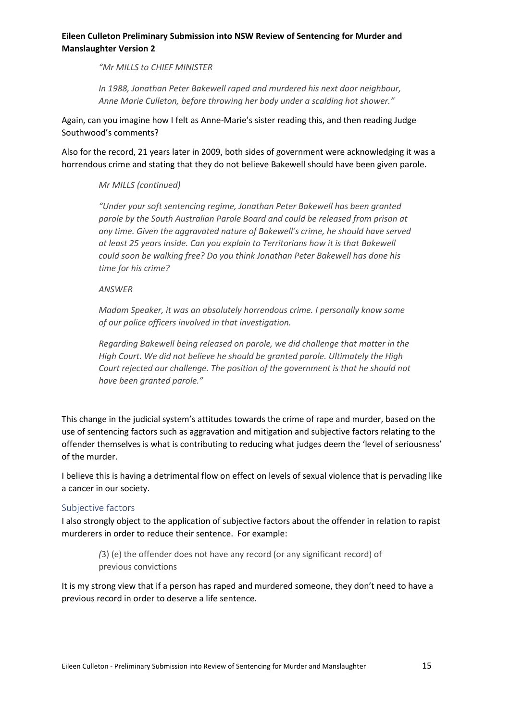*"Mr MILLS to CHIEF MINISTER*

*In 1988, Jonathan Peter Bakewell raped and murdered his next door neighbour, Anne Marie Culleton, before throwing her body under a scalding hot shower."*

Again, can you imagine how I felt as Anne-Marie's sister reading this, and then reading Judge Southwood's comments?

Also for the record, 21 years later in 2009, both sides of government were acknowledging it was a horrendous crime and stating that they do not believe Bakewell should have been given parole.

### *Mr MILLS (continued)*

*"Under your soft sentencing regime, Jonathan Peter Bakewell has been granted parole by the South Australian Parole Board and could be released from prison at any time. Given the aggravated nature of Bakewell's crime, he should have served at least 25 years inside. Can you explain to Territorians how it is that Bakewell could soon be walking free? Do you think Jonathan Peter Bakewell has done his time for his crime?*

#### *ANSWER*

*Madam Speaker, it was an absolutely horrendous crime. I personally know some of our police officers involved in that investigation.*

*Regarding Bakewell being released on parole, we did challenge that matter in the High Court. We did not believe he should be granted parole. Ultimately the High Court rejected our challenge. The position of the government is that he should not have been granted parole."*

This change in the judicial system's attitudes towards the crime of rape and murder, based on the use of sentencing factors such as aggravation and mitigation and subjective factors relating to the offender themselves is what is contributing to reducing what judges deem the 'level of seriousness' of the murder.

I believe this is having a detrimental flow on effect on levels of sexual violence that is pervading like a cancer in our society.

### <span id="page-14-0"></span>Subjective factors

I also strongly object to the application of subjective factors about the offender in relation to rapist murderers in order to reduce their sentence. For example:

*(*3) (e) the offender does not have any record (or any significant record) of previous convictions

It is my strong view that if a person has raped and murdered someone, they don't need to have a previous record in order to deserve a life sentence.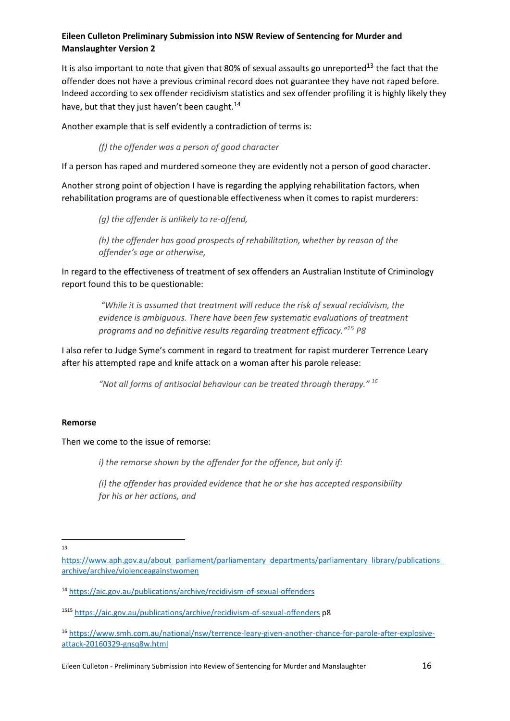It is also important to note that given that 80% of sexual assaults go unreported<sup>13</sup> the fact that the offender does not have a previous criminal record does not guarantee they have not raped before. Indeed according to sex offender recidivism statistics and sex offender profiling it is highly likely they have, but that they just haven't been caught.<sup>14</sup>

Another example that is self evidently a contradiction of terms is:

*(f) the offender was a person of good character*

If a person has raped and murdered someone they are evidently not a person of good character.

Another strong point of objection I have is regarding the applying rehabilitation factors, when rehabilitation programs are of questionable effectiveness when it comes to rapist murderers:

*(g) the offender is unlikely to re-offend,*

*(h) the offender has good prospects of rehabilitation, whether by reason of the offender's age or otherwise,*

In regard to the effectiveness of treatment of sex offenders an Australian Institute of Criminology report found this to be questionable:

*"While it is assumed that treatment will reduce the risk of sexual recidivism, the evidence is ambiguous. There have been few systematic evaluations of treatment programs and no definitive results regarding treatment efficacy."<sup>15</sup> P8*

I also refer to Judge Syme's comment in regard to treatment for rapist murderer Terrence Leary after his attempted rape and knife attack on a woman after his parole release:

*"Not all forms of antisocial behaviour can be treated through therapy." <sup>16</sup>*

#### **Remorse**

Then we come to the issue of remorse:

*i) the remorse shown by the offender for the offence, but only if:*

*(i) the offender has provided evidence that he or she has accepted responsibility for his or her actions, and*

 $\frac{1}{13}$ 

https://www.aph.gov.au/about parliament/parliamentary departments/parliamentary library/publications archive/archive/violenceagainstwomen

<sup>14</sup> https://aic.gov.au/publications/archive/recidivism-of-sexual-offenders

<sup>1515</sup> https://aic.gov.au/publications/archive/recidivism-of-sexual-offenders p8

<sup>16</sup> https://www.smh.com.au/national/nsw/terrence-leary-given-another-chance-for-parole-after-explosiveattack-20160329-gnsq8w.html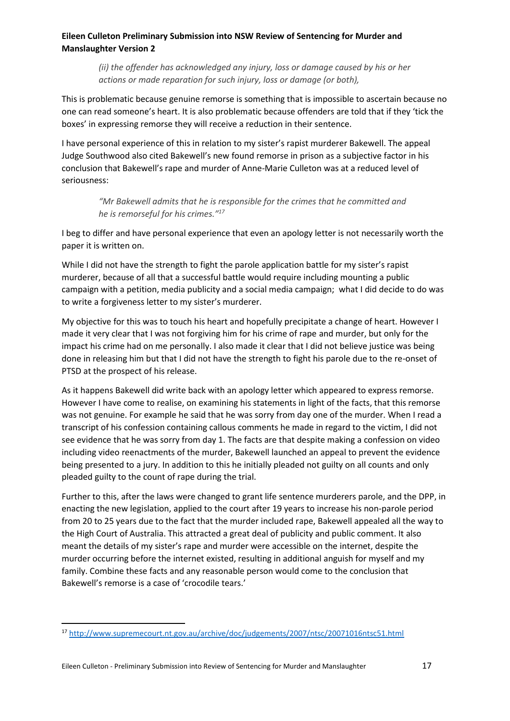*(ii) the offender has acknowledged any injury, loss or damage caused by his or her actions or made reparation for such injury, loss or damage (or both),*

This is problematic because genuine remorse is something that is impossible to ascertain because no one can read someone's heart. It is also problematic because offenders are told that if they 'tick the boxes' in expressing remorse they will receive a reduction in their sentence.

I have personal experience of this in relation to my sister's rapist murderer Bakewell. The appeal Judge Southwood also cited Bakewell's new found remorse in prison as a subjective factor in his conclusion that Bakewell's rape and murder of Anne-Marie Culleton was at a reduced level of seriousness:

> *"Mr Bakewell admits that he is responsible for the crimes that he committed and he is remorseful for his crimes."<sup>17</sup>*

I beg to differ and have personal experience that even an apology letter is not necessarily worth the paper it is written on.

While I did not have the strength to fight the parole application battle for my sister's rapist murderer, because of all that a successful battle would require including mounting a public campaign with a petition, media publicity and a social media campaign; what I did decide to do was to write a forgiveness letter to my sister's murderer.

My objective for this was to touch his heart and hopefully precipitate a change of heart. However I made it very clear that I was not forgiving him for his crime of rape and murder, but only for the impact his crime had on me personally. I also made it clear that I did not believe justice was being done in releasing him but that I did not have the strength to fight his parole due to the re-onset of PTSD at the prospect of his release.

As it happens Bakewell did write back with an apology letter which appeared to express remorse. However I have come to realise, on examining his statements in light of the facts, that this remorse was not genuine. For example he said that he was sorry from day one of the murder. When I read a transcript of his confession containing callous comments he made in regard to the victim, I did not see evidence that he was sorry from day 1. The facts are that despite making a confession on video including video reenactments of the murder, Bakewell launched an appeal to prevent the evidence being presented to a jury. In addition to this he initially pleaded not guilty on all counts and only pleaded guilty to the count of rape during the trial.

Further to this, after the laws were changed to grant life sentence murderers parole, and the DPP, in enacting the new legislation, applied to the court after 19 years to increase his non-parole period from 20 to 25 years due to the fact that the murder included rape, Bakewell appealed all the way to the High Court of Australia. This attracted a great deal of publicity and public comment. It also meant the details of my sister's rape and murder were accessible on the internet, despite the murder occurring before the internet existed, resulting in additional anguish for myself and my family. Combine these facts and any reasonable person would come to the conclusion that Bakewell's remorse is a case of 'crocodile tears.'

<sup>17</sup> http://www.supremecourt.nt.gov.au/archive/doc/judgements/2007/ntsc/20071016ntsc51.html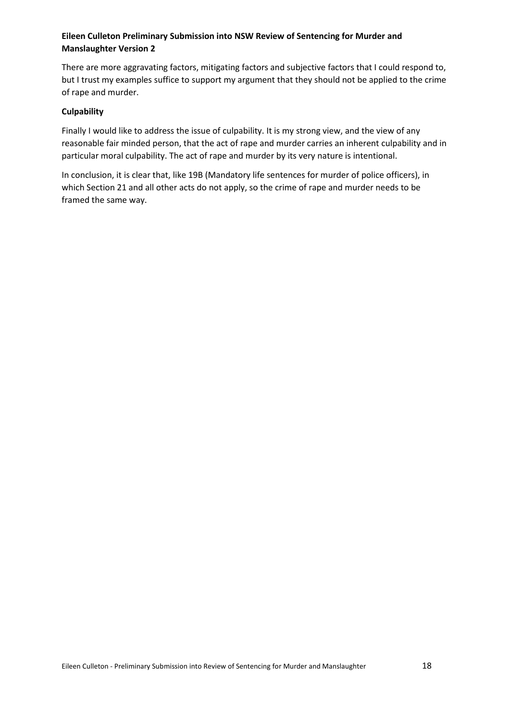There are more aggravating factors, mitigating factors and subjective factors that I could respond to, but I trust my examples suffice to support my argument that they should not be applied to the crime of rape and murder.

#### **Culpability**

Finally I would like to address the issue of culpability. It is my strong view, and the view of any reasonable fair minded person, that the act of rape and murder carries an inherent culpability and in particular moral culpability. The act of rape and murder by its very nature is intentional.

In conclusion, it is clear that, like 19B (Mandatory life sentences for murder of police officers), in which Section 21 and all other acts do not apply, so the crime of rape and murder needs to be framed the same way.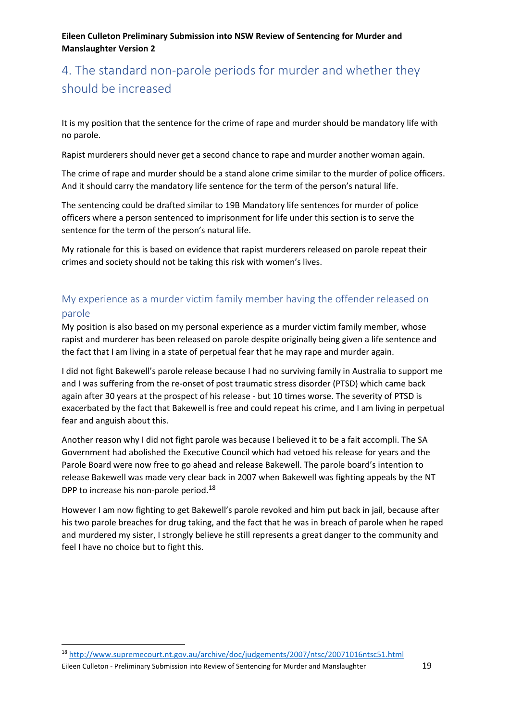# <span id="page-18-0"></span>4. The standard non-parole periods for murder and whether they should be increased

It is my position that the sentence for the crime of rape and murder should be mandatory life with no parole.

Rapist murderers should never get a second chance to rape and murder another woman again.

The crime of rape and murder should be a stand alone crime similar to the murder of police officers. And it should carry the mandatory life sentence for the term of the person's natural life.

The sentencing could be drafted similar to 19B Mandatory life sentences for murder of police officers where a person sentenced to imprisonment for life under this section is to serve the sentence for the term of the person's natural life.

My rationale for this is based on evidence that rapist murderers released on parole repeat their crimes and society should not be taking this risk with women's lives.

## <span id="page-18-1"></span>My experience as a murder victim family member having the offender released on parole

My position is also based on my personal experience as a murder victim family member, whose rapist and murderer has been released on parole despite originally being given a life sentence and the fact that I am living in a state of perpetual fear that he may rape and murder again.

I did not fight Bakewell's parole release because I had no surviving family in Australia to support me and I was suffering from the re-onset of post traumatic stress disorder (PTSD) which came back again after 30 years at the prospect of his release - but 10 times worse. The severity of PTSD is exacerbated by the fact that Bakewell is free and could repeat his crime, and I am living in perpetual fear and anguish about this.

Another reason why I did not fight parole was because I believed it to be a fait accompli. The SA Government had abolished the Executive Council which had vetoed his release for years and the Parole Board were now free to go ahead and release Bakewell. The parole board's intention to release Bakewell was made very clear back in 2007 when Bakewell was fighting appeals by the NT DPP to increase his non-parole period.<sup>18</sup>

However I am now fighting to get Bakewell's parole revoked and him put back in jail, because after his two parole breaches for drug taking, and the fact that he was in breach of parole when he raped and murdered my sister, I strongly believe he still represents a great danger to the community and feel I have no choice but to fight this.

Eileen Culleton - Preliminary Submission into Review of Sentencing for Murder and Manslaughter 19

<sup>18</sup> http://www.supremecourt.nt.gov.au/archive/doc/judgements/2007/ntsc/20071016ntsc51.html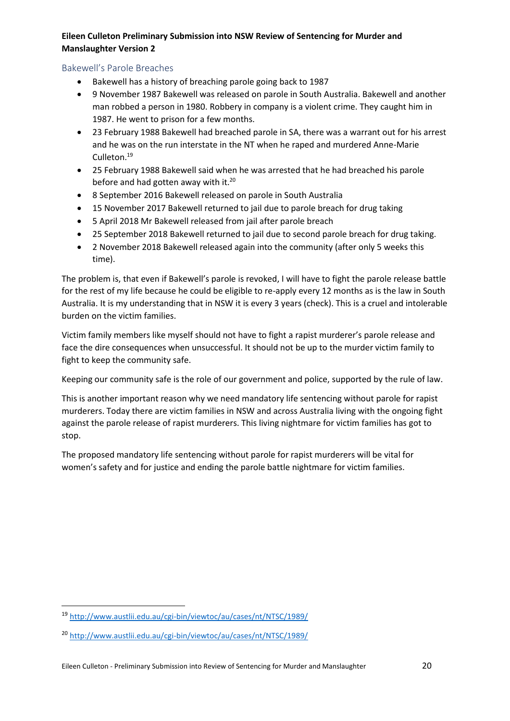## <span id="page-19-0"></span>Bakewell's Parole Breaches

- Bakewell has a history of breaching parole going back to 1987
- 9 November 1987 Bakewell was released on parole in South Australia. Bakewell and another man robbed a person in 1980. Robbery in company is a violent crime. They caught him in 1987. He went to prison for a few months.
- 23 February 1988 Bakewell had breached parole in SA, there was a warrant out for his arrest and he was on the run interstate in the NT when he raped and murdered Anne-Marie Culleton.<sup>19</sup>
- 25 February 1988 Bakewell said when he was arrested that he had breached his parole before and had gotten away with it.<sup>20</sup>
- 8 September 2016 Bakewell released on parole in South Australia
- 15 November 2017 Bakewell returned to jail due to parole breach for drug taking
- 5 April 2018 Mr Bakewell released from jail after parole breach
- 25 September 2018 Bakewell returned to jail due to second parole breach for drug taking.
- 2 November 2018 Bakewell released again into the community (after only 5 weeks this time).

The problem is, that even if Bakewell's parole is revoked, I will have to fight the parole release battle for the rest of my life because he could be eligible to re-apply every 12 months as is the law in South Australia. It is my understanding that in NSW it is every 3 years (check). This is a cruel and intolerable burden on the victim families.

Victim family members like myself should not have to fight a rapist murderer's parole release and face the dire consequences when unsuccessful. It should not be up to the murder victim family to fight to keep the community safe.

Keeping our community safe is the role of our government and police, supported by the rule of law.

This is another important reason why we need mandatory life sentencing without parole for rapist murderers. Today there are victim families in NSW and across Australia living with the ongoing fight against the parole release of rapist murderers. This living nightmare for victim families has got to stop.

The proposed mandatory life sentencing without parole for rapist murderers will be vital for women's safety and for justice and ending the parole battle nightmare for victim families.

<sup>19</sup> http://www.austlii.edu.au/cgi-bin/viewtoc/au/cases/nt/NTSC/1989/

<sup>20</sup> http://www.austlii.edu.au/cgi-bin/viewtoc/au/cases/nt/NTSC/1989/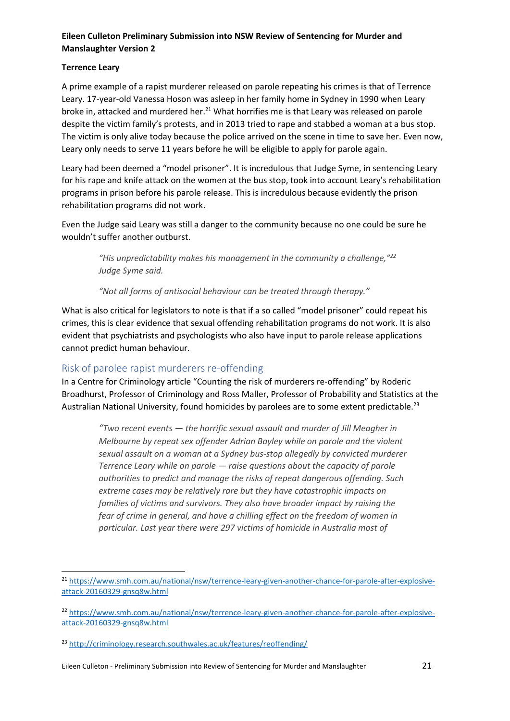## **Terrence Leary**

1

A prime example of a rapist murderer released on parole repeating his crimes is that of Terrence Leary. 17-year-old Vanessa Hoson was asleep in her family home in Sydney in 1990 when Leary broke in, attacked and murdered her. <sup>21</sup> What horrifies me is that Leary was released on parole despite the victim family's protests, and in 2013 tried to rape and stabbed a woman at a bus stop. The victim is only alive today because the police arrived on the scene in time to save her. Even now, Leary only needs to serve 11 years before he will be eligible to apply for parole again.

Leary had been deemed a "model prisoner". It is incredulous that Judge Syme, in sentencing Leary for his rape and knife attack on the women at the bus stop, took into account Leary's rehabilitation programs in prison before his parole release. This is incredulous because evidently the prison rehabilitation programs did not work.

Even the Judge said Leary was still a danger to the community because no one could be sure he wouldn't suffer another outburst.

> *"His unpredictability makes his management in the community a challenge,"<sup>22</sup> Judge Syme said.*

*"Not all forms of antisocial behaviour can be treated through therapy."*

What is also critical for legislators to note is that if a so called "model prisoner" could repeat his crimes, this is clear evidence that sexual offending rehabilitation programs do not work. It is also evident that psychiatrists and psychologists who also have input to parole release applications cannot predict human behaviour.

## <span id="page-20-0"></span>Risk of parolee rapist murderers re-offending

In a Centre for Criminology article "Counting the risk of murderers re-offending" by Roderic Broadhurst, Professor of Criminology and Ross Maller, Professor of Probability and Statistics at the Australian National University, found homicides by parolees are to some extent predictable.<sup>23</sup>

*"Two recent events — the horrific sexual assault and murder of Jill Meagher in Melbourne by repeat sex offender Adrian Bayley while on parole and the violent sexual assault on a woman at a Sydney bus-stop allegedly by convicted murderer Terrence Leary while on parole — raise questions about the capacity of parole authorities to predict and manage the risks of repeat dangerous offending. Such extreme cases may be relatively rare but they have catastrophic impacts on families of victims and survivors. They also have broader impact by raising the fear of crime in general, and have a chilling effect on the freedom of women in particular. Last year there were 297 victims of homicide in Australia most of* 

Eileen Culleton - Preliminary Submission into Review of Sentencing for Murder and Manslaughter 21

<sup>21</sup> https://www.smh.com.au/national/nsw/terrence-leary-given-another-chance-for-parole-after-explosiveattack-20160329-gnsq8w.html

<sup>22</sup> https://www.smh.com.au/national/nsw/terrence-leary-given-another-chance-for-parole-after-explosiveattack-20160329-gnsq8w.html

<sup>23</sup> http://criminology.research.southwales.ac.uk/features/reoffending/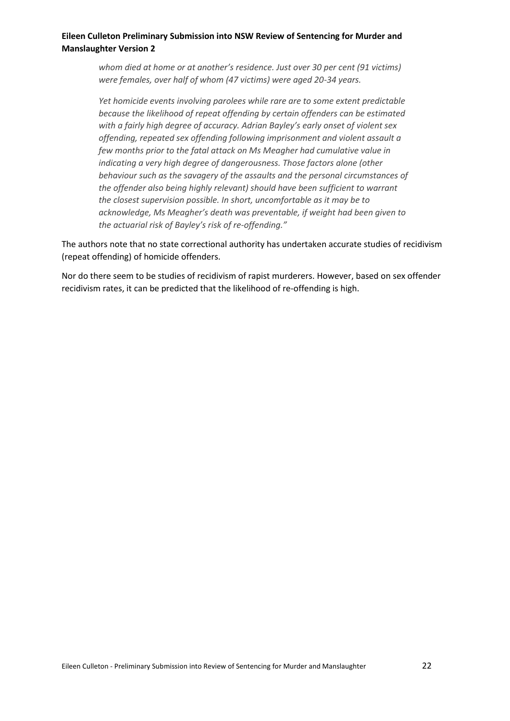*whom died at home or at another's residence. Just over 30 per cent (91 victims) were females, over half of whom (47 victims) were aged 20-34 years.*

*Yet homicide events involving parolees while rare are to some extent predictable because the likelihood of repeat offending by certain offenders can be estimated with a fairly high degree of accuracy. Adrian Bayley's early onset of violent sex offending, repeated sex offending following imprisonment and violent assault a few months prior to the fatal attack on Ms Meagher had cumulative value in indicating a very high degree of dangerousness. Those factors alone (other behaviour such as the savagery of the assaults and the personal circumstances of the offender also being highly relevant) should have been sufficient to warrant the closest supervision possible. In short, uncomfortable as it may be to acknowledge, Ms Meagher's death was preventable, if weight had been given to the actuarial risk of Bayley's risk of re-offending."*

The authors note that no state correctional authority has undertaken accurate studies of recidivism (repeat offending) of homicide offenders.

Nor do there seem to be studies of recidivism of rapist murderers. However, based on sex offender recidivism rates, it can be predicted that the likelihood of re-offending is high.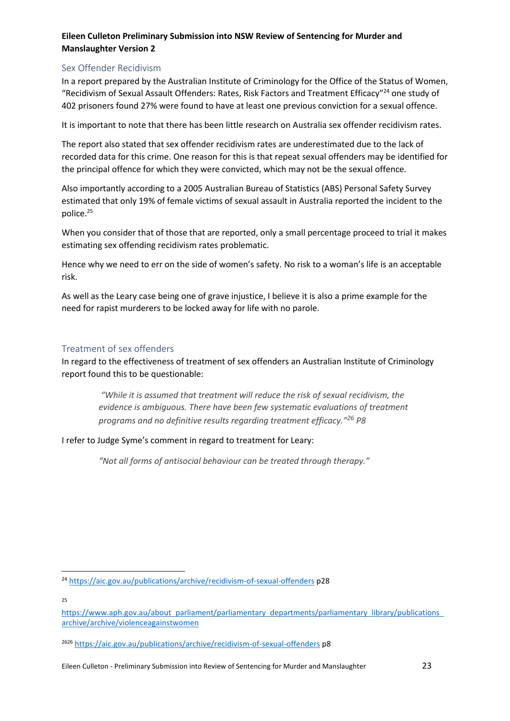## <span id="page-22-0"></span>Sex Offender Recidivism

In a report prepared by the Australian Institute of Criminology for the Office of the Status of Women, "Recidivism of Sexual Assault Offenders: Rates, Risk Factors and Treatment Efficacy"<sup>24</sup> one study of 402 prisoners found 27% were found to have at least one previous conviction for a sexual offence.

It is important to note that there has been little research on Australia sex offender recidivism rates.

The report also stated that sex offender recidivism rates are underestimated due to the lack of recorded data for this crime. One reason for this is that repeat sexual offenders may be identified for the principal offence for which they were convicted, which may not be the sexual offence.

Also importantly according to a 2005 Australian Bureau of Statistics (ABS) Personal Safety Survey estimated that only 19% of female victims of sexual assault in Australia reported the incident to the police.<sup>25</sup>

When you consider that of those that are reported, only a small percentage proceed to trial it makes estimating sex offending recidivism rates problematic.

Hence why we need to err on the side of women's safety. No risk to a woman's life is an acceptable risk.

As well as the Leary case being one of grave injustice, I believe it is also a prime example for the need for rapist murderers to be locked away for life with no parole.

### <span id="page-22-1"></span>Treatment of sex offenders

In regard to the effectiveness of treatment of sex offenders an Australian Institute of Criminology report found this to be questionable:

*"While it is assumed that treatment will reduce the risk of sexual recidivism, the evidence is ambiguous. There have been few systematic evaluations of treatment programs and no definitive results regarding treatment efficacy."<sup>26</sup> P8*

I refer to Judge Syme's comment in regard to treatment for Leary:

*"Not all forms of antisocial behaviour can be treated through therapy."*

25

1

<sup>24</sup> https://aic.gov.au/publications/archive/recidivism-of-sexual-offenders p28

https://www.aph.gov.au/about parliament/parliamentary departments/parliamentary library/publications archive/archive/violenceagainstwomen

<sup>2626</sup> https://aic.gov.au/publications/archive/recidivism-of-sexual-offenders p8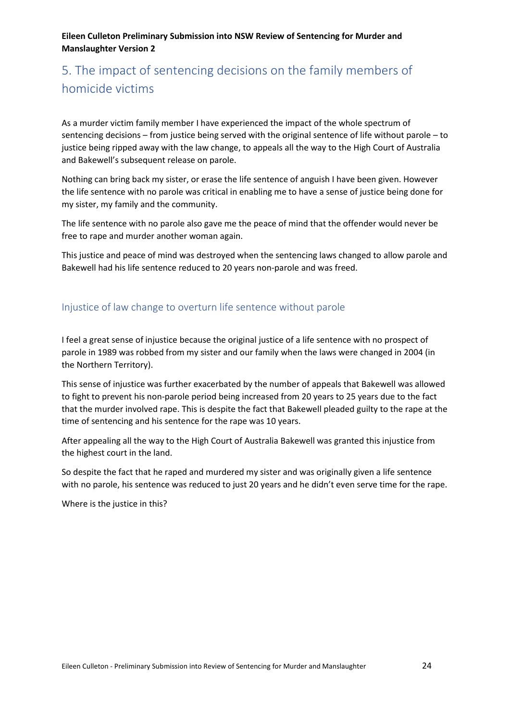# <span id="page-23-0"></span>5. The impact of sentencing decisions on the family members of homicide victims

As a murder victim family member I have experienced the impact of the whole spectrum of sentencing decisions – from justice being served with the original sentence of life without parole – to justice being ripped away with the law change, to appeals all the way to the High Court of Australia and Bakewell's subsequent release on parole.

Nothing can bring back my sister, or erase the life sentence of anguish I have been given. However the life sentence with no parole was critical in enabling me to have a sense of justice being done for my sister, my family and the community.

The life sentence with no parole also gave me the peace of mind that the offender would never be free to rape and murder another woman again.

This justice and peace of mind was destroyed when the sentencing laws changed to allow parole and Bakewell had his life sentence reduced to 20 years non-parole and was freed.

## <span id="page-23-1"></span>Injustice of law change to overturn life sentence without parole

I feel a great sense of injustice because the original justice of a life sentence with no prospect of parole in 1989 was robbed from my sister and our family when the laws were changed in 2004 (in the Northern Territory).

This sense of injustice was further exacerbated by the number of appeals that Bakewell was allowed to fight to prevent his non-parole period being increased from 20 years to 25 years due to the fact that the murder involved rape. This is despite the fact that Bakewell pleaded guilty to the rape at the time of sentencing and his sentence for the rape was 10 years.

After appealing all the way to the High Court of Australia Bakewell was granted this injustice from the highest court in the land.

So despite the fact that he raped and murdered my sister and was originally given a life sentence with no parole, his sentence was reduced to just 20 years and he didn't even serve time for the rape.

Where is the justice in this?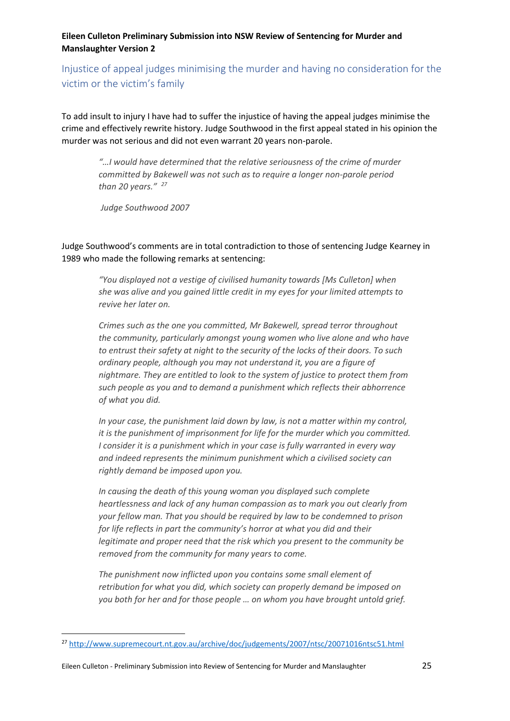<span id="page-24-0"></span>Injustice of appeal judges minimising the murder and having no consideration for the victim or the victim's family

To add insult to injury I have had to suffer the injustice of having the appeal judges minimise the crime and effectively rewrite history. Judge Southwood in the first appeal stated in his opinion the murder was not serious and did not even warrant 20 years non-parole.

*"…I would have determined that the relative seriousness of the crime of murder committed by Bakewell was not such as to require a longer non-parole period than 20 years." <sup>27</sup>*

*Judge Southwood 2007*

Judge Southwood's comments are in total contradiction to those of sentencing Judge Kearney in 1989 who made the following remarks at sentencing:

> *"You displayed not a vestige of civilised humanity towards [Ms Culleton] when she was alive and you gained little credit in my eyes for your limited attempts to revive her later on.*

*Crimes such as the one you committed, Mr Bakewell, spread terror throughout the community, particularly amongst young women who live alone and who have to entrust their safety at night to the security of the locks of their doors. To such ordinary people, although you may not understand it, you are a figure of nightmare. They are entitled to look to the system of justice to protect them from such people as you and to demand a punishment which reflects their abhorrence of what you did.*

*In your case, the punishment laid down by law, is not a matter within my control, it is the punishment of imprisonment for life for the murder which you committed. I consider it is a punishment which in your case is fully warranted in every way and indeed represents the minimum punishment which a civilised society can rightly demand be imposed upon you.*

*In causing the death of this young woman you displayed such complete heartlessness and lack of any human compassion as to mark you out clearly from your fellow man. That you should be required by law to be condemned to prison for life reflects in part the community's horror at what you did and their legitimate and proper need that the risk which you present to the community be removed from the community for many years to come.*

*The punishment now inflicted upon you contains some small element of retribution for what you did, which society can properly demand be imposed on you both for her and for those people … on whom you have brought untold grief.*

1

<sup>27</sup> http://www.supremecourt.nt.gov.au/archive/doc/judgements/2007/ntsc/20071016ntsc51.html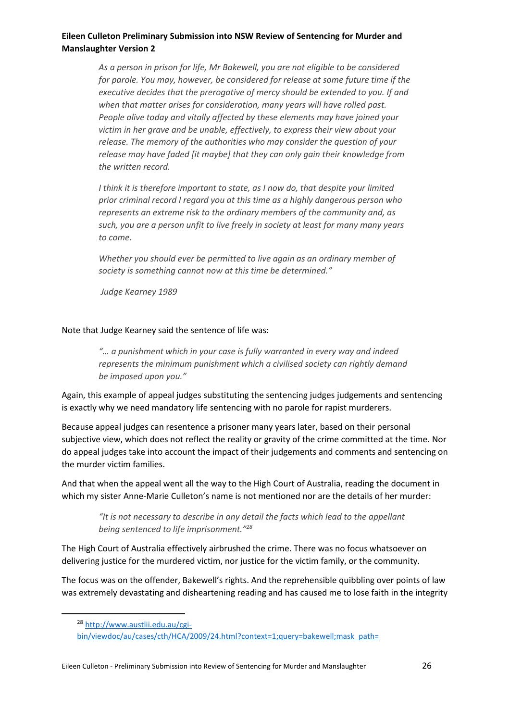*As a person in prison for life, Mr Bakewell, you are not eligible to be considered for parole. You may, however, be considered for release at some future time if the executive decides that the prerogative of mercy should be extended to you. If and when that matter arises for consideration, many years will have rolled past. People alive today and vitally affected by these elements may have joined your victim in her grave and be unable, effectively, to express their view about your release. The memory of the authorities who may consider the question of your release may have faded [it maybe] that they can only gain their knowledge from the written record.*

*I think it is therefore important to state, as I now do, that despite your limited prior criminal record I regard you at this time as a highly dangerous person who represents an extreme risk to the ordinary members of the community and, as such, you are a person unfit to live freely in society at least for many many years to come.*

*Whether you should ever be permitted to live again as an ordinary member of society is something cannot now at this time be determined."*

*Judge Kearney 1989* 

#### Note that Judge Kearney said the sentence of life was:

*"… a punishment which in your case is fully warranted in every way and indeed represents the minimum punishment which a civilised society can rightly demand be imposed upon you."*

Again, this example of appeal judges substituting the sentencing judges judgements and sentencing is exactly why we need mandatory life sentencing with no parole for rapist murderers.

Because appeal judges can resentence a prisoner many years later, based on their personal subjective view, which does not reflect the reality or gravity of the crime committed at the time. Nor do appeal judges take into account the impact of their judgements and comments and sentencing on the murder victim families.

And that when the appeal went all the way to the High Court of Australia, reading the document in which my sister Anne-Marie Culleton's name is not mentioned nor are the details of her murder:

*"It is not necessary to describe in any detail the facts which lead to the appellant being sentenced to life imprisonment." 28*

The High Court of Australia effectively airbrushed the crime. There was no focus whatsoever on delivering justice for the murdered victim, nor justice for the victim family, or the community.

The focus was on the offender, Bakewell's rights. And the reprehensible quibbling over points of law was extremely devastating and disheartening reading and has caused me to lose faith in the integrity

<sup>28</sup> http://www.austlii.edu.au/cgi-

bin/viewdoc/au/cases/cth/HCA/2009/24.html?context=1;query=bakewell;mask path=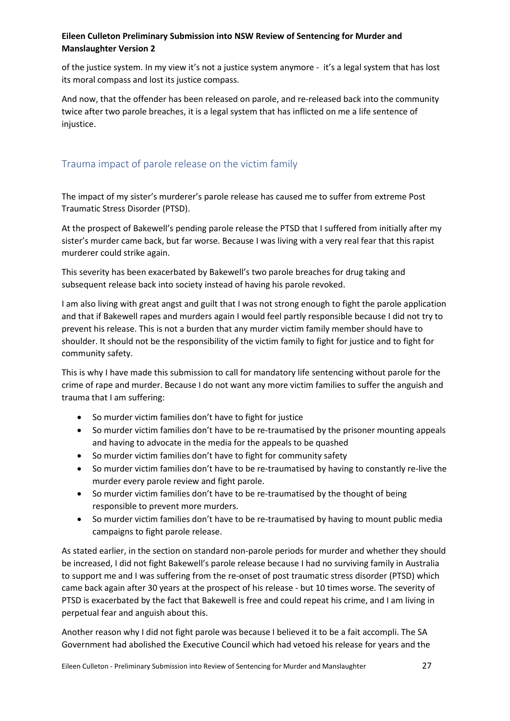of the justice system. In my view it's not a justice system anymore - it's a legal system that has lost its moral compass and lost its justice compass.

And now, that the offender has been released on parole, and re-released back into the community twice after two parole breaches, it is a legal system that has inflicted on me a life sentence of injustice.

## <span id="page-26-0"></span>Trauma impact of parole release on the victim family

The impact of my sister's murderer's parole release has caused me to suffer from extreme Post Traumatic Stress Disorder (PTSD).

At the prospect of Bakewell's pending parole release the PTSD that I suffered from initially after my sister's murder came back, but far worse. Because I was living with a very real fear that this rapist murderer could strike again.

This severity has been exacerbated by Bakewell's two parole breaches for drug taking and subsequent release back into society instead of having his parole revoked.

I am also living with great angst and guilt that I was not strong enough to fight the parole application and that if Bakewell rapes and murders again I would feel partly responsible because I did not try to prevent his release. This is not a burden that any murder victim family member should have to shoulder. It should not be the responsibility of the victim family to fight for justice and to fight for community safety.

This is why I have made this submission to call for mandatory life sentencing without parole for the crime of rape and murder. Because I do not want any more victim families to suffer the anguish and trauma that I am suffering:

- So murder victim families don't have to fight for justice
- So murder victim families don't have to be re-traumatised by the prisoner mounting appeals and having to advocate in the media for the appeals to be quashed
- So murder victim families don't have to fight for community safety
- So murder victim families don't have to be re-traumatised by having to constantly re-live the murder every parole review and fight parole.
- So murder victim families don't have to be re-traumatised by the thought of being responsible to prevent more murders.
- So murder victim families don't have to be re-traumatised by having to mount public media campaigns to fight parole release.

As stated earlier, in the section on standard non-parole periods for murder and whether they should be increased, I did not fight Bakewell's parole release because I had no surviving family in Australia to support me and I was suffering from the re-onset of post traumatic stress disorder (PTSD) which came back again after 30 years at the prospect of his release - but 10 times worse. The severity of PTSD is exacerbated by the fact that Bakewell is free and could repeat his crime, and I am living in perpetual fear and anguish about this.

Another reason why I did not fight parole was because I believed it to be a fait accompli. The SA Government had abolished the Executive Council which had vetoed his release for years and the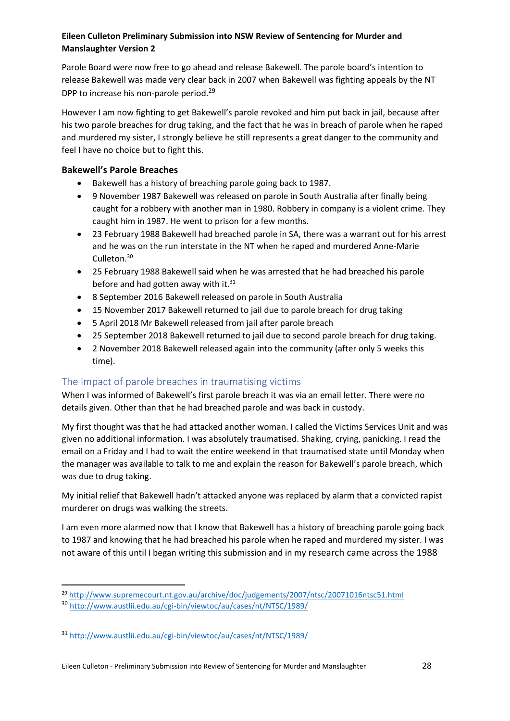Parole Board were now free to go ahead and release Bakewell. The parole board's intention to release Bakewell was made very clear back in 2007 when Bakewell was fighting appeals by the NT DPP to increase his non-parole period.<sup>29</sup>

However I am now fighting to get Bakewell's parole revoked and him put back in jail, because after his two parole breaches for drug taking, and the fact that he was in breach of parole when he raped and murdered my sister, I strongly believe he still represents a great danger to the community and feel I have no choice but to fight this.

## **Bakewell's Parole Breaches**

- Bakewell has a history of breaching parole going back to 1987.
- 9 November 1987 Bakewell was released on parole in South Australia after finally being caught for a robbery with another man in 1980. Robbery in company is a violent crime. They caught him in 1987. He went to prison for a few months.
- 23 February 1988 Bakewell had breached parole in SA, there was a warrant out for his arrest and he was on the run interstate in the NT when he raped and murdered Anne-Marie Culleton.<sup>30</sup>
- 25 February 1988 Bakewell said when he was arrested that he had breached his parole before and had gotten away with it. $31$
- 8 September 2016 Bakewell released on parole in South Australia
- 15 November 2017 Bakewell returned to jail due to parole breach for drug taking
- 5 April 2018 Mr Bakewell released from jail after parole breach
- 25 September 2018 Bakewell returned to jail due to second parole breach for drug taking.
- 2 November 2018 Bakewell released again into the community (after only 5 weeks this time).

## <span id="page-27-0"></span>The impact of parole breaches in traumatising victims

When I was informed of Bakewell's first parole breach it was via an email letter. There were no details given. Other than that he had breached parole and was back in custody.

My first thought was that he had attacked another woman. I called the Victims Services Unit and was given no additional information. I was absolutely traumatised. Shaking, crying, panicking. I read the email on a Friday and I had to wait the entire weekend in that traumatised state until Monday when the manager was available to talk to me and explain the reason for Bakewell's parole breach, which was due to drug taking.

My initial relief that Bakewell hadn't attacked anyone was replaced by alarm that a convicted rapist murderer on drugs was walking the streets.

I am even more alarmed now that I know that Bakewell has a history of breaching parole going back to 1987 and knowing that he had breached his parole when he raped and murdered my sister. I was not aware of this until I began writing this submission and in my research came across the 1988

**<sup>.</sup>** <sup>29</sup> http://www.supremecourt.nt.gov.au/archive/doc/judgements/2007/ntsc/20071016ntsc51.html

<sup>30</sup> http://www.austlii.edu.au/cgi-bin/viewtoc/au/cases/nt/NTSC/1989/

<sup>31</sup> http://www.austlii.edu.au/cgi-bin/viewtoc/au/cases/nt/NTSC/1989/